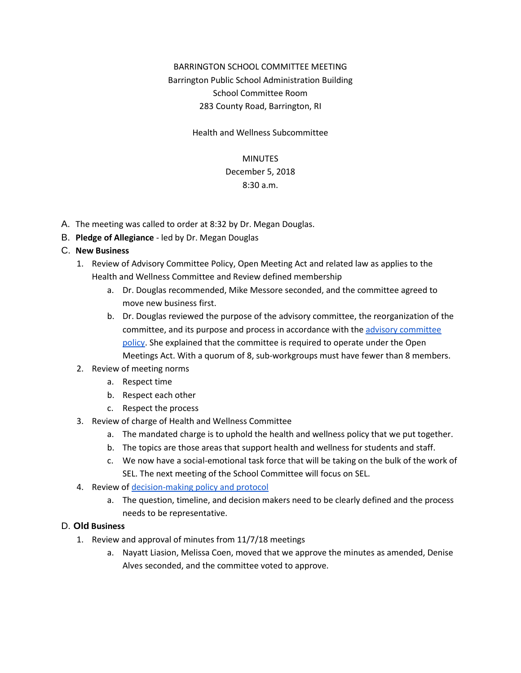# BARRINGTON SCHOOL COMMITTEE MEETING Barrington Public School Administration Building School Committee Room 283 County Road, Barrington, RI

Health and Wellness Subcommittee

#### MINUTES

# December 5, 2018

### 8:30 a.m.

- A. The meeting was called to order at 8:32 by Dr. Megan Douglas.
- B. **Pledge of Allegiance** led by Dr. Megan Douglas

#### C. **New Business**

- 1. Review of Advisory Committee Policy, Open Meeting Act and related law as applies to the Health and Wellness Committee and Review defined membership
	- a. Dr. Douglas recommended, Mike Messore seconded, and the committee agreed to move new business first.
	- b. Dr. Douglas reviewed the purpose of the advisory committee, the reorganization of the committee, and its purpose and process in accordance with the advisory [committee](https://drive.google.com/file/d/1WslVMf60ARcy0BLCQ6svX4nQ13dpKURK/view) [policy.](https://drive.google.com/file/d/1WslVMf60ARcy0BLCQ6svX4nQ13dpKURK/view) She explained that the committee is required to operate under the Open Meetings Act. With a quorum of 8, sub-workgroups must have fewer than 8 members.

#### 2. Review of meeting norms

- a. Respect time
- b. Respect each other
- c. Respect the process
- 3. Review of charge of Health and Wellness Committee
	- a. The mandated charge is to uphold the health and wellness policy that we put together.
	- b. The topics are those areas that support health and wellness for students and staff.
	- c. We now have a social-emotional task force that will be taking on the bulk of the work of SEL. The next meeting of the School Committee will focus on SEL.
- 4. Review of [decision-making](https://docs.google.com/document/d/1kMOoQYqnHVKxYvottoZZN54pSxxlQO7GKxAkzV6tNw0/edit) policy and protocol
	- a. The question, timeline, and decision makers need to be clearly defined and the process needs to be representative.

#### D. **Old Business**

- 1. Review and approval of minutes from 11/7/18 meetings
	- a. Nayatt Liasion, Melissa Coen, moved that we approve the minutes as amended, Denise Alves seconded, and the committee voted to approve.